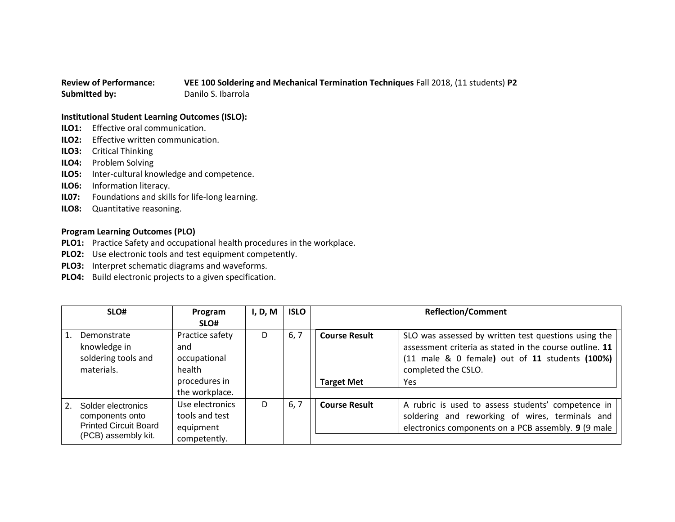## **Review of Performance: VEE 100 Soldering and Mechanical Termination Techniques** Fall 2018, (11 students) **P2 Submitted by:** Danilo S. Ibarrola

## **Institutional Student Learning Outcomes (ISLO):**

- **ILO1:** Effective oral communication.
- **ILO2:** Effective written communication.
- **ILO3:** Critical Thinking
- **ILO4:** Problem Solving
- **ILO5:** Inter-cultural knowledge and competence.
- **ILO6:** Information literacy.
- **IL07:** Foundations and skills for life-long learning.
- **ILO8:** Quantitative reasoning.

## **Program Learning Outcomes (PLO)**

- **PLO1:** Practice Safety and occupational health procedures in the workplace.
- **PLO2:** Use electronic tools and test equipment competently.
- **PLO3:** Interpret schematic diagrams and waveforms.
- **PLO4:** Build electronic projects to a given specification.

|         | SLO#                                                                                         | Program<br>SLO#                                                                     | I, D, M | <b>ISLO</b> |                                           | <b>Reflection/Comment</b>                                                                                                                                                                       |
|---------|----------------------------------------------------------------------------------------------|-------------------------------------------------------------------------------------|---------|-------------|-------------------------------------------|-------------------------------------------------------------------------------------------------------------------------------------------------------------------------------------------------|
| 1.      | Demonstrate<br>knowledge in<br>soldering tools and<br>materials.                             | Practice safety<br>and<br>occupational<br>health<br>procedures in<br>the workplace. | D       | 6, 7        | <b>Course Result</b><br><b>Target Met</b> | SLO was assessed by written test questions using the<br>assessment criteria as stated in the course outline. 11<br>(11 male & 0 female) out of 11 students (100%)<br>completed the CSLO.<br>Yes |
| $2_{1}$ | Solder electronics<br>components onto<br><b>Printed Circuit Board</b><br>(PCB) assembly kit. | Use electronics<br>tools and test<br>equipment<br>competently.                      | D       | 6, 7        | <b>Course Result</b>                      | A rubric is used to assess students' competence in<br>soldering and reworking of wires, terminals and<br>electronics components on a PCB assembly. 9 (9 male                                    |